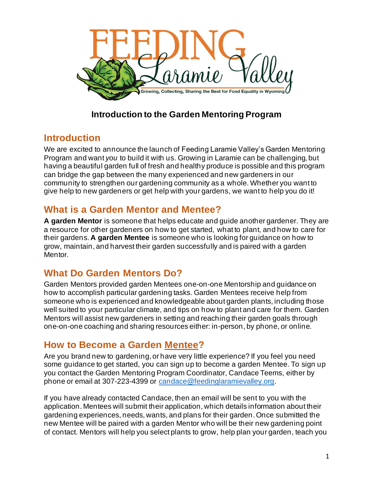

## **Introduction to the Garden Mentoring Program**

## **Introduction**

We are excited to announce the launch of Feeding Laramie Valley's Garden Mentoring Program and want *you* to build it with us. Growing in Laramie can be challenging, but having a beautiful garden full of fresh and healthy produce is possible and this program can bridge the gap between the many experienced and new gardeners in our community to strengthen our gardening community as a whole. Whether you want to give help to new gardeners or get help with your gardens, we want to help you do it!

# **What is a Garden Mentor and Mentee?**

**A garden Mentor** is someone that helps educate and guide another gardener. They are a resource for other gardeners on how to get started, what to plant, and how to care for their gardens. **A garden Mentee** is someone who is looking for guidance on how to grow, maintain, and harvest their garden successfully and is paired with a garden Mentor.

## **What Do Garden Mentors Do?**

Garden Mentors provided garden Mentees one-on-one Mentorship and guidance on how to accomplish particular gardening tasks. Garden Mentees receive help from someone who is experienced and knowledgeable about garden plants, including those well suited to your particular climate, and tips on how to plant and care for them. Garden Mentors will assist new gardeners in setting and reaching their garden goals through one-on-one coaching and sharing resources either: in-person, by phone, or online.

## **How to Become a Garden Mentee?**

Are you brand new to gardening, or have very little experience? If you feel you need some guidance to get started, you can sign up to become a garden Mentee. To sign up you contact the Garden Mentoring Program Coordinator, Candace Teems, either by phone or email at 307-223-4399 or [candace@feedinglaramievalley.org](mailto:candace@feedinglaramievalley.org).

If you have already contacted Candace, then an email will be sent to you with the application. Mentees will submit their application, which details information about their gardening experiences, needs, wants, and plans for their garden. Once submitted the new Mentee will be paired with a garden Mentor who will be their new gardening point of contact. Mentors will help you select plants to grow, help plan your garden, teach you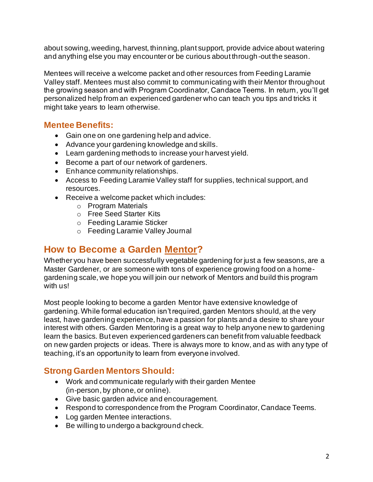about sowing, weeding, harvest, thinning, plant support, provide advice about watering and anything else you may encounter or be curious about through-out the season.

Mentees will receive a welcome packet and other resources from Feeding Laramie Valley staff. Mentees must also commit to communicating with their Mentor throughout the growing season and with Program Coordinator, Candace Teems. In return, you'll get personalized help from an experienced gardener who can teach you tips and tricks it might take years to learn otherwise.

#### **Mentee Benefits:**

- Gain one on one gardening help and advice.
- Advance your gardening knowledge and skills.
- Learn gardening methods to increase your harvest yield.
- Become a part of our network of gardeners.
- Enhance community relationships.
- Access to Feeding Laramie Valley staff for supplies, technical support, and resources.
- Receive a welcome packet which includes:
	- o Program Materials
	- o Free Seed Starter Kits
	- o Feeding Laramie Sticker
	- o Feeding Laramie Valley Journal

### **How to Become a Garden Mentor?**

Whether you have been successfully vegetable gardening for just a few seasons, are a Master Gardener, or are someone with tons of experience growing food on a homegardening scale, we hope you will join our network of Mentors and build this program with us!

Most people looking to become a garden Mentor have extensive knowledge of gardening. While formal education isn't required, garden Mentors should, at the very least, have gardening experience, have a passion for plants and a desire to share your interest with others. Garden Mentoring is a great way to help anyone new to gardening learn the basics. But even experienced gardeners can benefit from valuable feedback on new garden projects or ideas. There is always more to know, and as with any type of teaching, it's an opportunity to learn from everyone involved.

### **Strong Garden Mentors Should:**

- Work and communicate regularly with their garden Mentee (in-person, by phone, or online).
- Give basic garden advice and encouragement.
- Respond to correspondence from the Program Coordinator, Candace Teems.
- Log garden Mentee interactions.
- Be willing to undergo a background check.